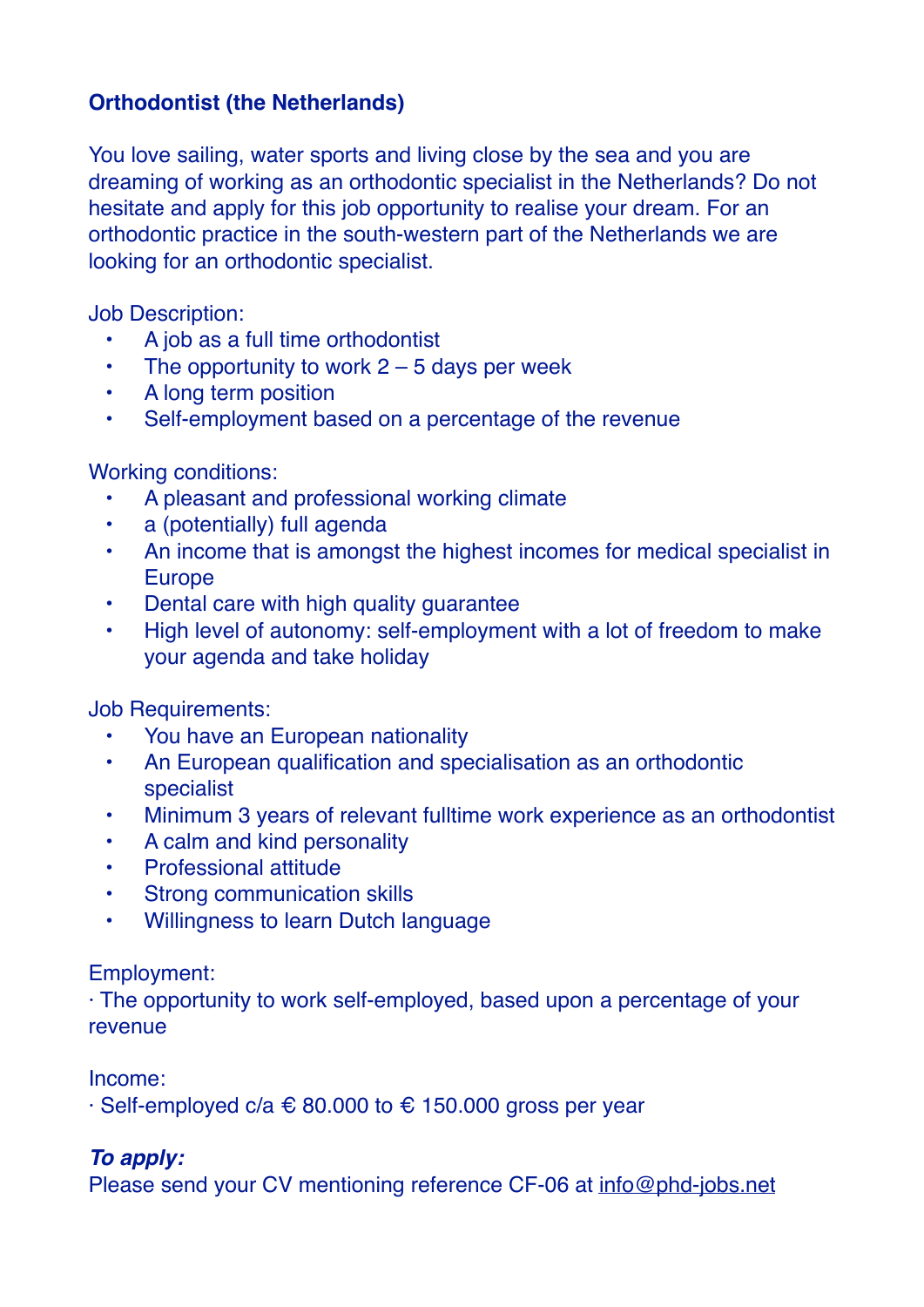## **Orthodontist (the Netherlands)**

You love sailing, water sports and living close by the sea and you are dreaming of working as an orthodontic specialist in the Netherlands? Do not hesitate and apply for this job opportunity to realise your dream. For an orthodontic practice in the south-western part of the Netherlands we are looking for an orthodontic specialist.

Job Description:

- A job as a full time orthodontist
- The opportunity to work  $2 5$  days per week
- A long term position
- Self-employment based on a percentage of the revenue

Working conditions:

- A pleasant and professional working climate
- a (potentially) full agenda
- An income that is amongst the highest incomes for medical specialist in Europe
- Dental care with high quality guarantee
- High level of autonomy: self-employment with a lot of freedom to make your agenda and take holiday

Job Requirements:

- You have an European nationality
- An European qualification and specialisation as an orthodontic specialist
- Minimum 3 years of relevant fulltime work experience as an orthodontist
- A calm and kind personality
- Professional attitude
- **Strong communication skills**
- Willingness to learn Dutch language

Employment:

· The opportunity to work self-employed, based upon a percentage of your revenue

Income:

 $\cdot$  Self-employed c/a  $\epsilon$  80.000 to  $\epsilon$  150.000 gross per year

## *To apply:*

Please send your CV mentioning reference CF-06 at [info@phd-jobs.net](mailto:info@phd-jobs.net)